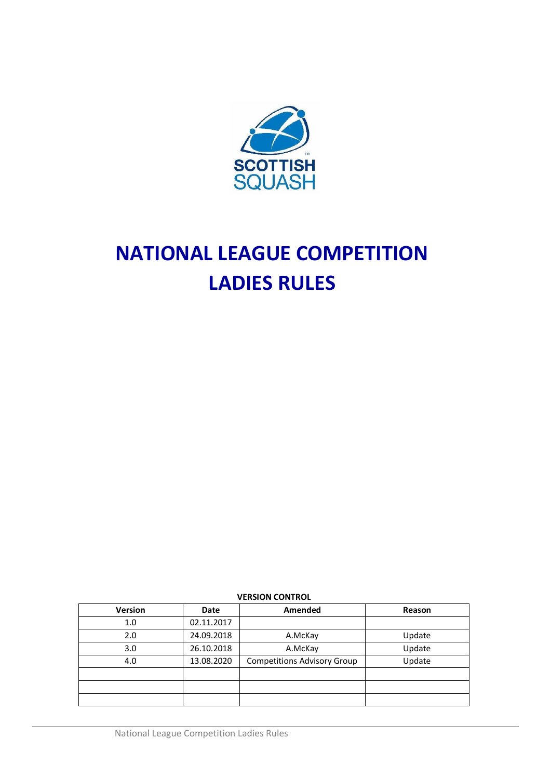

# **NATIONAL LEAGUE COMPETITION LADIES RULES**

**VERSION CONTROL**

| Version | Date       | Amended                            | Reason |
|---------|------------|------------------------------------|--------|
| 1.0     | 02.11.2017 |                                    |        |
| 2.0     | 24.09.2018 | A.McKay                            | Update |
| 3.0     | 26.10.2018 | A.McKay                            | Update |
| 4.0     | 13.08.2020 | <b>Competitions Advisory Group</b> | Update |
|         |            |                                    |        |
|         |            |                                    |        |
|         |            |                                    |        |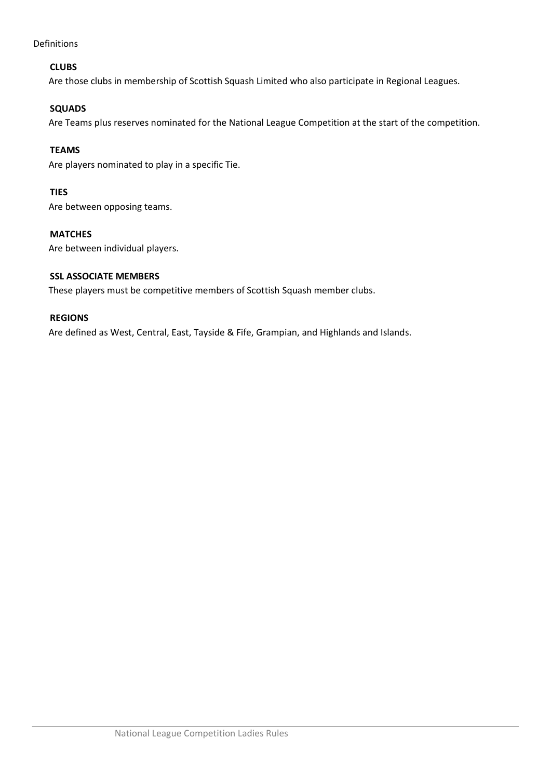Definitions

## **CLUBS**

Are those clubs in membership of Scottish Squash Limited who also participate in Regional Leagues.

## **SQUADS**

Are Teams plus reserves nominated for the National League Competition at the start of the competition.

## **TEAMS**

Are players nominated to play in a specific Tie.

## **TIES**

Are between opposing teams.

## **MATCHES**

Are between individual players.

## **SSL ASSOCIATE MEMBERS**

These players must be competitive members of Scottish Squash member clubs.

## **REGIONS**

Are defined as West, Central, East, Tayside & Fife, Grampian, and Highlands and Islands.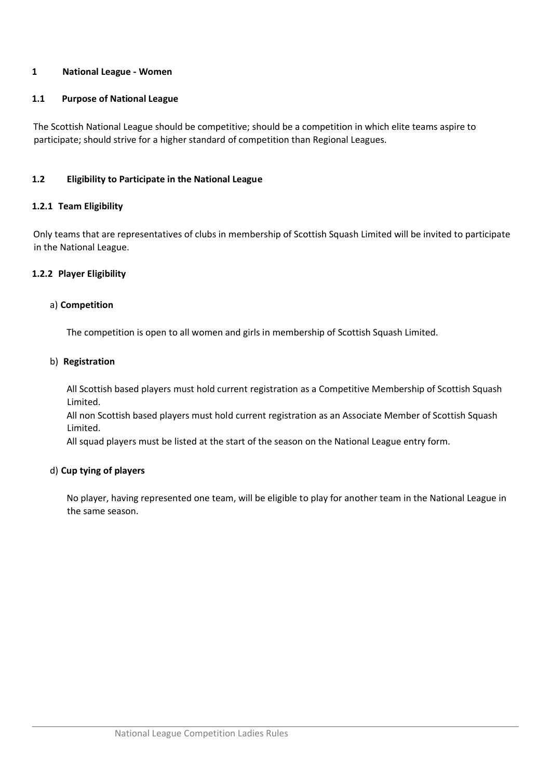## **1 National League - Women**

#### **1.1 Purpose of National League**

The Scottish National League should be competitive; should be a competition in which elite teams aspire to participate; should strive for a higher standard of competition than Regional Leagues.

#### **1.2 Eligibility to Participate in the National League**

#### **1.2.1 Team Eligibility**

Only teams that are representatives of clubs in membership of Scottish Squash Limited will be invited to participate in the National League.

#### **1.2.2 Player Eligibility**

#### a) **Competition**

The competition is open to all women and girls in membership of Scottish Squash Limited.

## b) **Registration**

All Scottish based players must hold current registration as a Competitive Membership of Scottish Squash Limited.

All non Scottish based players must hold current registration as an Associate Member of Scottish Squash Limited.

All squad players must be listed at the start of the season on the National League entry form.

## d) **Cup tying of players**

No player, having represented one team, will be eligible to play for another team in the National League in the same season.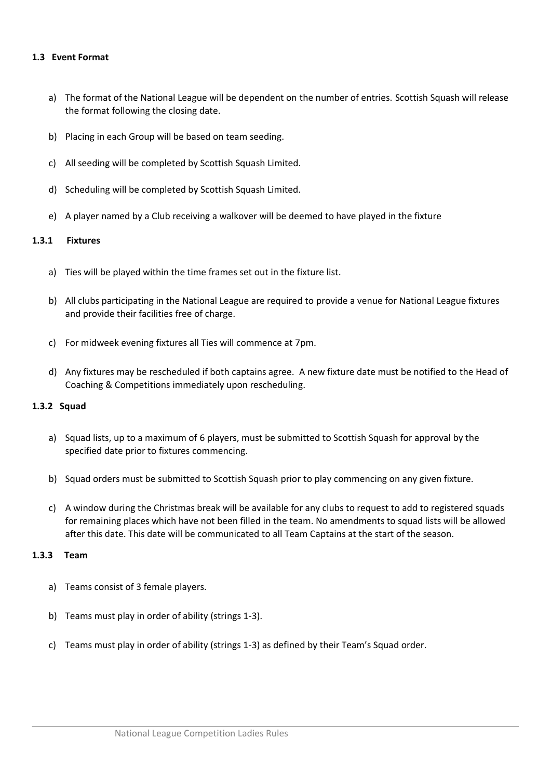#### **1.3 Event Format**

- a) The format of the National League will be dependent on the number of entries. Scottish Squash will release the format following the closing date.
- b) Placing in each Group will be based on team seeding.
- c) All seeding will be completed by Scottish Squash Limited.
- d) Scheduling will be completed by Scottish Squash Limited.
- e) A player named by a Club receiving a walkover will be deemed to have played in the fixture

#### **1.3.1 Fixtures**

- a) Ties will be played within the time frames set out in the fixture list.
- b) All clubs participating in the National League are required to provide a venue for National League fixtures and provide their facilities free of charge.
- c) For midweek evening fixtures all Ties will commence at 7pm.
- d) Any fixtures may be rescheduled if both captains agree. A new fixture date must be notified to the Head of Coaching & Competitions immediately upon rescheduling.

#### **1.3.2 Squad**

- a) Squad lists, up to a maximum of 6 players, must be submitted to Scottish Squash for approval by the specified date prior to fixtures commencing.
- b) Squad orders must be submitted to Scottish Squash prior to play commencing on any given fixture.
- c) A window during the Christmas break will be available for any clubs to request to add to registered squads for remaining places which have not been filled in the team. No amendments to squad lists will be allowed after this date. This date will be communicated to all Team Captains at the start of the season.

#### **1.3.3 Team**

- a) Teams consist of 3 female players.
- b) Teams must play in order of ability (strings 1-3).
- c) Teams must play in order of ability (strings 1-3) as defined by their Team's Squad order.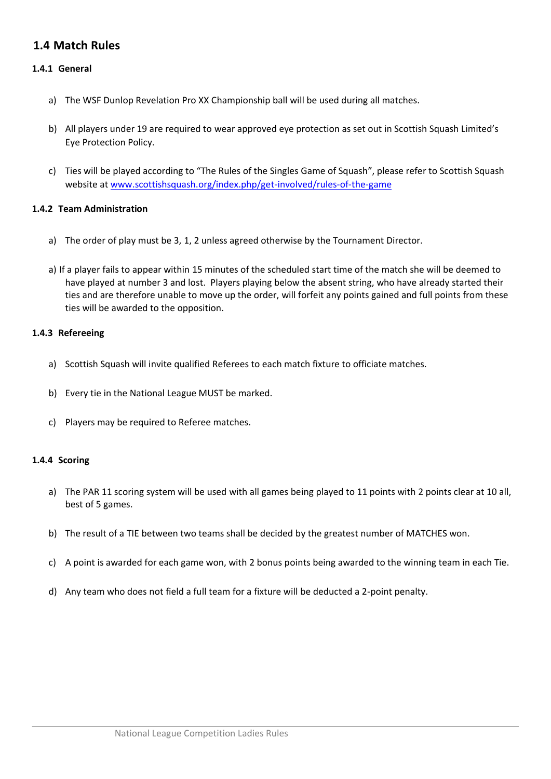## **1.4 Match Rules**

## **1.4.1 General**

- a) The WSF Dunlop Revelation Pro XX Championship ball will be used during all matches.
- b) All players under 19 are required to wear approved eye protection as set out in Scottish Squash Limited's Eye Protection Policy.
- c) Ties will be played according to "The Rules of the Singles Game of Squash", please refer to Scottish Squash website at [www.scottishsquash.org/index.php/get-involved/rules-of-the-game](http://www.scottishsquash.org/index.php/get-involved/rules-of-the-game)

#### **1.4.2 Team Administration**

- a) The order of play must be 3, 1, 2 unless agreed otherwise by the Tournament Director.
- a) If a player fails to appear within 15 minutes of the scheduled start time of the match she will be deemed to have played at number 3 and lost. Players playing below the absent string, who have already started their ties and are therefore unable to move up the order, will forfeit any points gained and full points from these ties will be awarded to the opposition.

#### **1.4.3 Refereeing**

- a) Scottish Squash will invite qualified Referees to each match fixture to officiate matches.
- b) Every tie in the National League MUST be marked.
- c) Players may be required to Referee matches.

#### **1.4.4 Scoring**

- a) The PAR 11 scoring system will be used with all games being played to 11 points with 2 points clear at 10 all, best of 5 games.
- b) The result of a TIE between two teams shall be decided by the greatest number of MATCHES won.
- c) A point is awarded for each game won, with 2 bonus points being awarded to the winning team in each Tie.
- d) Any team who does not field a full team for a fixture will be deducted a 2-point penalty.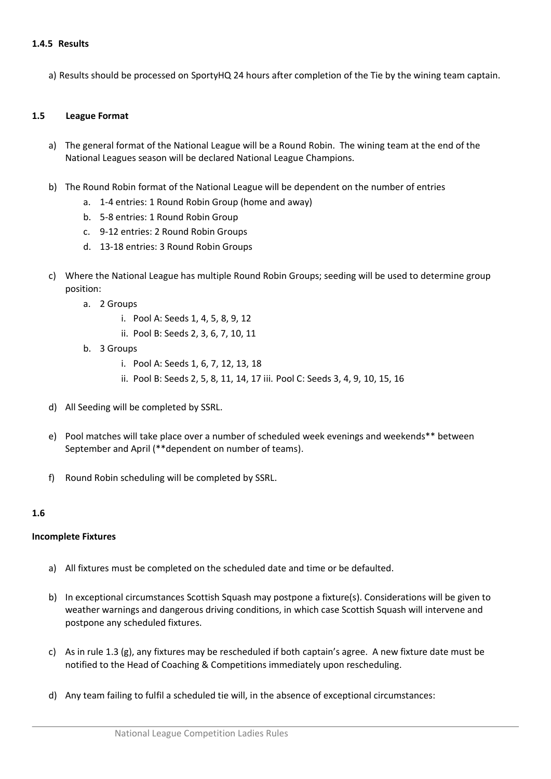#### **1.4.5 Results**

a) Results should be processed on SportyHQ 24 hours after completion of the Tie by the wining team captain.

#### **1.5 League Format**

- a) The general format of the National League will be a Round Robin. The wining team at the end of the National Leagues season will be declared National League Champions.
- b) The Round Robin format of the National League will be dependent on the number of entries
	- a. 1-4 entries: 1 Round Robin Group (home and away)
	- b. 5-8 entries: 1 Round Robin Group
	- c. 9-12 entries: 2 Round Robin Groups
	- d. 13-18 entries: 3 Round Robin Groups
- c) Where the National League has multiple Round Robin Groups; seeding will be used to determine group position:
	- a. 2 Groups
		- i. Pool A: Seeds 1, 4, 5, 8, 9, 12
		- ii. Pool B: Seeds 2, 3, 6, 7, 10, 11
	- b. 3 Groups
		- i. Pool A: Seeds 1, 6, 7, 12, 13, 18
		- ii. Pool B: Seeds 2, 5, 8, 11, 14, 17 iii. Pool C: Seeds 3, 4, 9, 10, 15, 16
- d) All Seeding will be completed by SSRL.
- e) Pool matches will take place over a number of scheduled week evenings and weekends\*\* between September and April (\*\*dependent on number of teams).
- f) Round Robin scheduling will be completed by SSRL.

#### **1.6**

#### **Incomplete Fixtures**

- a) All fixtures must be completed on the scheduled date and time or be defaulted.
- b) In exceptional circumstances Scottish Squash may postpone a fixture(s). Considerations will be given to weather warnings and dangerous driving conditions, in which case Scottish Squash will intervene and postpone any scheduled fixtures.
- c) As in rule 1.3 (g), any fixtures may be rescheduled if both captain's agree. A new fixture date must be notified to the Head of Coaching & Competitions immediately upon rescheduling.
- d) Any team failing to fulfil a scheduled tie will, in the absence of exceptional circumstances: